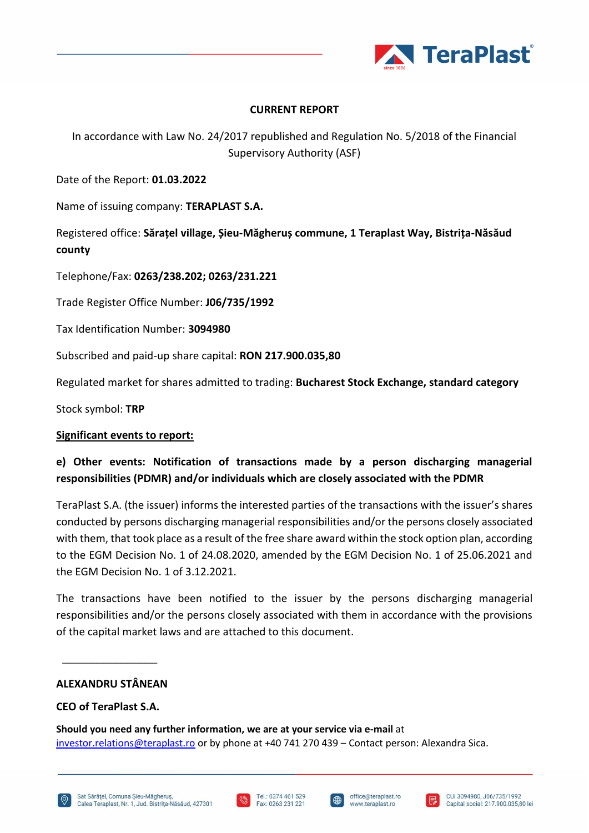

## **CURRENT REPORT**

In accordance with Law No. 24/2017 republished and Regulation No. 5/2018 of the Financial Supervisory Authority (ASF)

Date of the Report: **01.03.2022**

Name of issuing company: **TERAPLAST S.A.**

Registered office: **Sărațel village, Șieu-Măgheruș commune, 1 Teraplast Way, Bistrița-Năsăud county**

Telephone/Fax: **0263/238.202; 0263/231.221**

Trade Register Office Number: **J06/735/1992**

Tax Identification Number: **3094980**

Subscribed and paid-up share capital: **RON 217.900.035,80** 

Regulated market for shares admitted to trading: **Bucharest Stock Exchange, standard category**

Stock symbol: **TRP**

### **Significant events to report:**

# **e) Other events: Notification of transactions made by a person discharging managerial responsibilities (PDMR) and/or individuals which are closely associated with the PDMR**

TeraPlast S.A. (the issuer) informs the interested parties of the transactions with the issuer's shares conducted by persons discharging managerial responsibilities and/or the persons closely associated with them, that took place as a result of the free share award within the stock option plan, according to the EGM Decision No. 1 of 24.08.2020, amended by the EGM Decision No. 1 of 25.06.2021 and the EGM Decision No. 1 of 3.12.2021.

The transactions have been notified to the issuer by the persons discharging managerial responsibilities and/or the persons closely associated with them in accordance with the provisions of the capital market laws and are attached to this document.

### **ALEXANDRU STÂNEAN**

\_\_\_\_\_\_\_\_\_\_\_\_\_\_\_\_

**CEO of TeraPlast S.A.**

**Should you need any further information, we are at your service via e-mail** at [investor.relations@teraplast.ro](mailto:investor.relations@teraplast.ro) or by phone at +40 741 270 439 – Contact person: Alexandra Sica.







I⊕

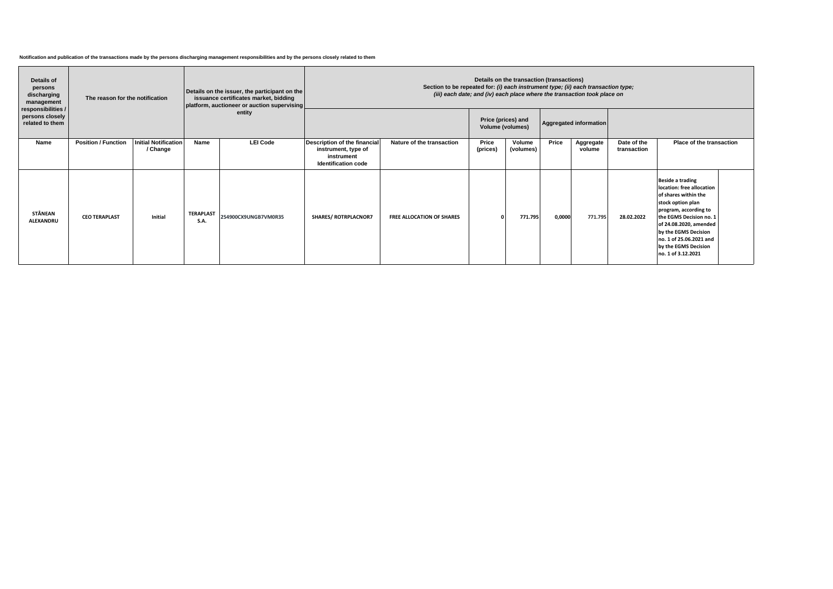#### **Notification and publication of the transactions made by the persons discharging management responsibilities and by the persons closely related to them**

| <b>Details of</b><br>persons<br>discharging<br>management | The reason for the notification<br>responsibilities / |                                         | Details on the issuer, the participant on the<br>issuance certificates market, bidding<br>platform, auctioneer or auction supervising<br>entity |                      | Details on the transaction (transactions)<br>Section to be repeated for: (i) each instrument type; (ii) each transaction type;<br>(iii) each date; and (iv) each place where the transaction took place on |                                        |                   |                        |        |                     |                            |                                                                                                                                                                                                                                                                                  |  |
|-----------------------------------------------------------|-------------------------------------------------------|-----------------------------------------|-------------------------------------------------------------------------------------------------------------------------------------------------|----------------------|------------------------------------------------------------------------------------------------------------------------------------------------------------------------------------------------------------|----------------------------------------|-------------------|------------------------|--------|---------------------|----------------------------|----------------------------------------------------------------------------------------------------------------------------------------------------------------------------------------------------------------------------------------------------------------------------------|--|
| persons closely<br>related to them                        |                                                       |                                         |                                                                                                                                                 |                      |                                                                                                                                                                                                            | Price (prices) and<br>Volume (volumes) |                   | Aggregated information |        |                     |                            |                                                                                                                                                                                                                                                                                  |  |
| Name                                                      | <b>Position / Function</b>                            | <b>Initial Notification</b><br>/ Change | Name                                                                                                                                            | <b>LEI Code</b>      | <b>Description of the financial</b><br>instrument, type of<br>instrument<br><b>Identification code</b>                                                                                                     | Nature of the transaction              | Price<br>(prices) | Volume<br>(volumes)    | Price  | Aggregate<br>volume | Date of the<br>transaction | Place of the transaction                                                                                                                                                                                                                                                         |  |
| STÂNEAN<br><b>ALEXANDRU</b>                               | <b>CEO TERAPLAST</b>                                  | Initial                                 | <b>TERAPLAST</b><br>S.A.                                                                                                                        | 254900CX9UNGB7VM0R35 | <b>SHARES/ ROTRPLACNOR7</b>                                                                                                                                                                                | <b>FREE ALLOCATION OF SHARES</b>       |                   | 771.795                | 0,0000 | 771.795             | 28.02.2022                 | <b>Beside a trading</b><br>location: free allocation<br>of shares within the<br>stock option plan<br>program, according to<br>the EGMS Decision no. 1<br>of 24.08.2020, amended<br>by the EGMS Decision<br>no. 1 of 25.06.2021 and<br>by the EGMS Decision<br>no. 1 of 3.12.2021 |  |